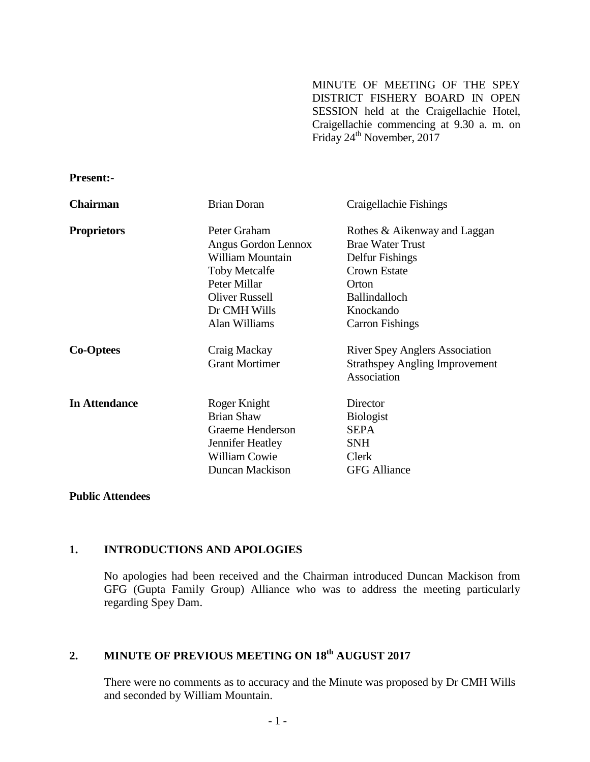MINUTE OF MEETING OF THE SPEY DISTRICT FISHERY BOARD IN OPEN SESSION held at the Craigellachie Hotel, Craigellachie commencing at 9.30 a. m. on Friday 24<sup>th</sup> November, 2017

| 1 1 CJC116-          |                                                         |                                                                                               |
|----------------------|---------------------------------------------------------|-----------------------------------------------------------------------------------------------|
| <b>Chairman</b>      | <b>Brian Doran</b>                                      | Craigellachie Fishings                                                                        |
| <b>Proprietors</b>   | Peter Graham<br>Angus Gordon Lennox<br>William Mountain | Rothes & Aikenway and Laggan<br><b>Brae Water Trust</b><br>Delfur Fishings                    |
|                      | <b>Toby Metcalfe</b>                                    | <b>Crown Estate</b>                                                                           |
|                      | Peter Millar                                            | Orton                                                                                         |
|                      | <b>Oliver Russell</b>                                   | <b>Ballindalloch</b>                                                                          |
|                      | Dr CMH Wills                                            | Knockando                                                                                     |
|                      | Alan Williams                                           | <b>Carron Fishings</b>                                                                        |
| <b>Co-Optees</b>     | Craig Mackay<br><b>Grant Mortimer</b>                   | <b>River Spey Anglers Association</b><br><b>Strathspey Angling Improvement</b><br>Association |
| <b>In Attendance</b> | Roger Knight                                            | Director                                                                                      |
|                      | <b>Brian Shaw</b>                                       | <b>Biologist</b>                                                                              |
|                      | Graeme Henderson                                        | <b>SEPA</b>                                                                                   |
|                      | Jennifer Heatley                                        | <b>SNH</b>                                                                                    |
|                      | <b>William Cowie</b>                                    | Clerk                                                                                         |
|                      | <b>Duncan Mackison</b>                                  | <b>GFG Alliance</b>                                                                           |

**Public Attendees** 

**Present:-**

#### **1. INTRODUCTIONS AND APOLOGIES**

No apologies had been received and the Chairman introduced Duncan Mackison from GFG (Gupta Family Group) Alliance who was to address the meeting particularly regarding Spey Dam.

# **2. MINUTE OF PREVIOUS MEETING ON 18 th AUGUST 2017**

There were no comments as to accuracy and the Minute was proposed by Dr CMH Wills and seconded by William Mountain.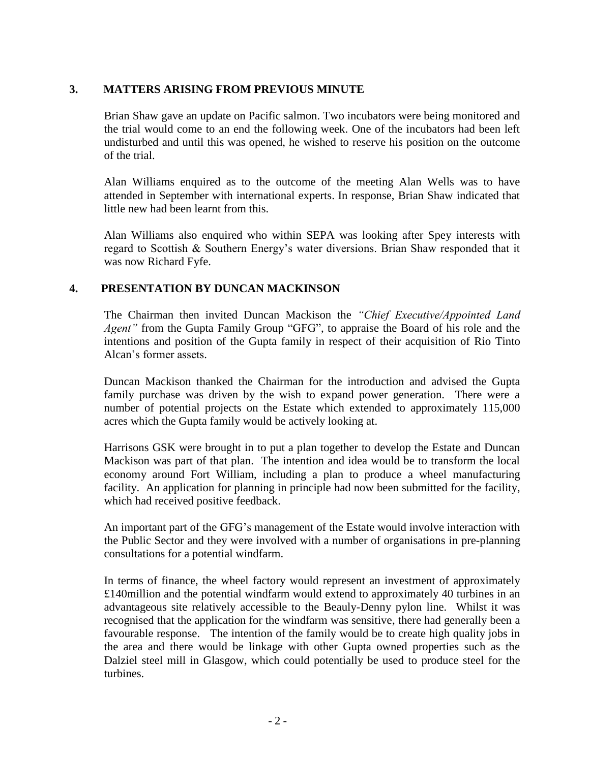### **3. MATTERS ARISING FROM PREVIOUS MINUTE**

Brian Shaw gave an update on Pacific salmon. Two incubators were being monitored and the trial would come to an end the following week. One of the incubators had been left undisturbed and until this was opened, he wished to reserve his position on the outcome of the trial.

Alan Williams enquired as to the outcome of the meeting Alan Wells was to have attended in September with international experts. In response, Brian Shaw indicated that little new had been learnt from this.

Alan Williams also enquired who within SEPA was looking after Spey interests with regard to Scottish & Southern Energy's water diversions. Brian Shaw responded that it was now Richard Fyfe.

### **4. PRESENTATION BY DUNCAN MACKINSON**

The Chairman then invited Duncan Mackison the *"Chief Executive/Appointed Land Agent"* from the Gupta Family Group "GFG", to appraise the Board of his role and the intentions and position of the Gupta family in respect of their acquisition of Rio Tinto Alcan's former assets.

Duncan Mackison thanked the Chairman for the introduction and advised the Gupta family purchase was driven by the wish to expand power generation. There were a number of potential projects on the Estate which extended to approximately 115,000 acres which the Gupta family would be actively looking at.

Harrisons GSK were brought in to put a plan together to develop the Estate and Duncan Mackison was part of that plan. The intention and idea would be to transform the local economy around Fort William, including a plan to produce a wheel manufacturing facility. An application for planning in principle had now been submitted for the facility, which had received positive feedback.

An important part of the GFG's management of the Estate would involve interaction with the Public Sector and they were involved with a number of organisations in pre-planning consultations for a potential windfarm.

In terms of finance, the wheel factory would represent an investment of approximately £140million and the potential windfarm would extend to approximately 40 turbines in an advantageous site relatively accessible to the Beauly-Denny pylon line. Whilst it was recognised that the application for the windfarm was sensitive, there had generally been a favourable response. The intention of the family would be to create high quality jobs in the area and there would be linkage with other Gupta owned properties such as the Dalziel steel mill in Glasgow, which could potentially be used to produce steel for the turbines.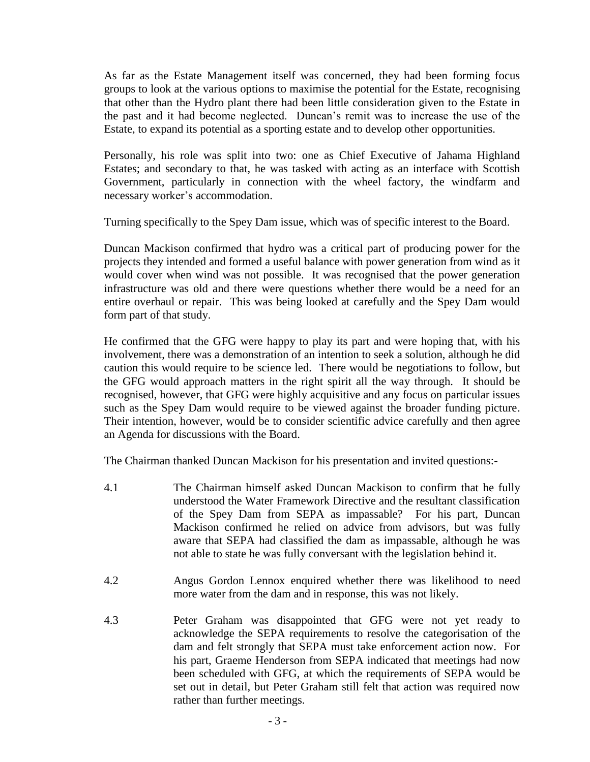As far as the Estate Management itself was concerned, they had been forming focus groups to look at the various options to maximise the potential for the Estate, recognising that other than the Hydro plant there had been little consideration given to the Estate in the past and it had become neglected. Duncan's remit was to increase the use of the Estate, to expand its potential as a sporting estate and to develop other opportunities.

Personally, his role was split into two: one as Chief Executive of Jahama Highland Estates; and secondary to that, he was tasked with acting as an interface with Scottish Government, particularly in connection with the wheel factory, the windfarm and necessary worker's accommodation.

Turning specifically to the Spey Dam issue, which was of specific interest to the Board.

Duncan Mackison confirmed that hydro was a critical part of producing power for the projects they intended and formed a useful balance with power generation from wind as it would cover when wind was not possible. It was recognised that the power generation infrastructure was old and there were questions whether there would be a need for an entire overhaul or repair. This was being looked at carefully and the Spey Dam would form part of that study.

He confirmed that the GFG were happy to play its part and were hoping that, with his involvement, there was a demonstration of an intention to seek a solution, although he did caution this would require to be science led. There would be negotiations to follow, but the GFG would approach matters in the right spirit all the way through. It should be recognised, however, that GFG were highly acquisitive and any focus on particular issues such as the Spey Dam would require to be viewed against the broader funding picture. Their intention, however, would be to consider scientific advice carefully and then agree an Agenda for discussions with the Board.

The Chairman thanked Duncan Mackison for his presentation and invited questions:-

- 4.1 The Chairman himself asked Duncan Mackison to confirm that he fully understood the Water Framework Directive and the resultant classification of the Spey Dam from SEPA as impassable? For his part, Duncan Mackison confirmed he relied on advice from advisors, but was fully aware that SEPA had classified the dam as impassable, although he was not able to state he was fully conversant with the legislation behind it.
- 4.2 Angus Gordon Lennox enquired whether there was likelihood to need more water from the dam and in response, this was not likely.
- 4.3 Peter Graham was disappointed that GFG were not yet ready to acknowledge the SEPA requirements to resolve the categorisation of the dam and felt strongly that SEPA must take enforcement action now. For his part, Graeme Henderson from SEPA indicated that meetings had now been scheduled with GFG, at which the requirements of SEPA would be set out in detail, but Peter Graham still felt that action was required now rather than further meetings.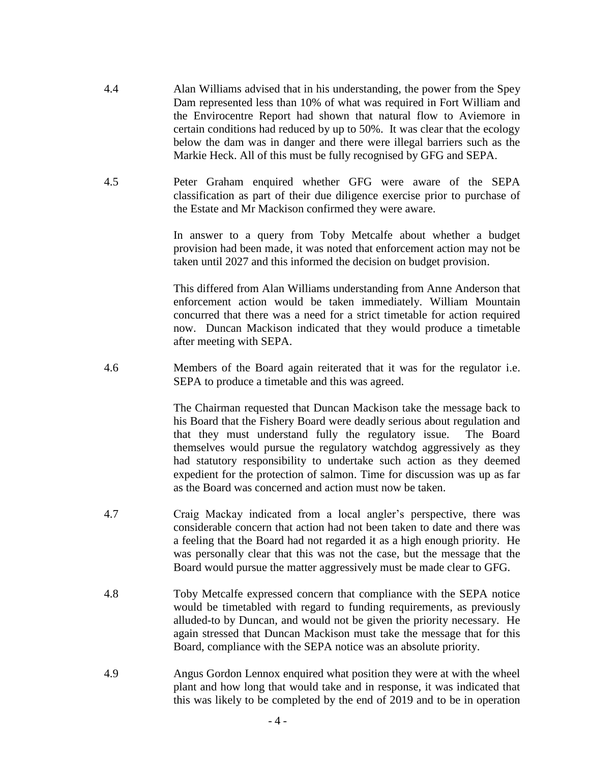- 4.4 Alan Williams advised that in his understanding, the power from the Spey Dam represented less than 10% of what was required in Fort William and the Envirocentre Report had shown that natural flow to Aviemore in certain conditions had reduced by up to 50%. It was clear that the ecology below the dam was in danger and there were illegal barriers such as the Markie Heck. All of this must be fully recognised by GFG and SEPA.
- 4.5 Peter Graham enquired whether GFG were aware of the SEPA classification as part of their due diligence exercise prior to purchase of the Estate and Mr Mackison confirmed they were aware.

In answer to a query from Toby Metcalfe about whether a budget provision had been made, it was noted that enforcement action may not be taken until 2027 and this informed the decision on budget provision.

This differed from Alan Williams understanding from Anne Anderson that enforcement action would be taken immediately. William Mountain concurred that there was a need for a strict timetable for action required now. Duncan Mackison indicated that they would produce a timetable after meeting with SEPA.

4.6 Members of the Board again reiterated that it was for the regulator i.e. SEPA to produce a timetable and this was agreed.

> The Chairman requested that Duncan Mackison take the message back to his Board that the Fishery Board were deadly serious about regulation and that they must understand fully the regulatory issue. The Board themselves would pursue the regulatory watchdog aggressively as they had statutory responsibility to undertake such action as they deemed expedient for the protection of salmon. Time for discussion was up as far as the Board was concerned and action must now be taken.

- 4.7 Craig Mackay indicated from a local angler's perspective, there was considerable concern that action had not been taken to date and there was a feeling that the Board had not regarded it as a high enough priority. He was personally clear that this was not the case, but the message that the Board would pursue the matter aggressively must be made clear to GFG.
- 4.8 Toby Metcalfe expressed concern that compliance with the SEPA notice would be timetabled with regard to funding requirements, as previously alluded-to by Duncan, and would not be given the priority necessary. He again stressed that Duncan Mackison must take the message that for this Board, compliance with the SEPA notice was an absolute priority.
- 4.9 Angus Gordon Lennox enquired what position they were at with the wheel plant and how long that would take and in response, it was indicated that this was likely to be completed by the end of 2019 and to be in operation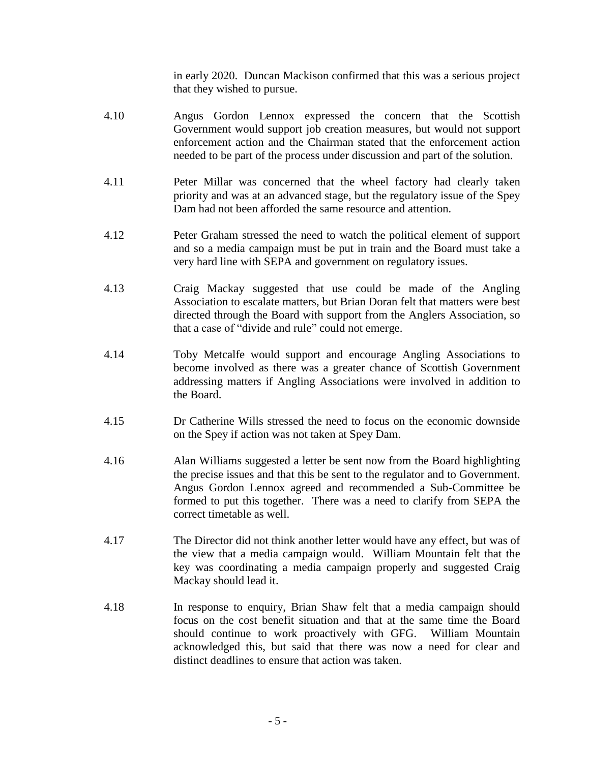in early 2020. Duncan Mackison confirmed that this was a serious project that they wished to pursue.

- 4.10 Angus Gordon Lennox expressed the concern that the Scottish Government would support job creation measures, but would not support enforcement action and the Chairman stated that the enforcement action needed to be part of the process under discussion and part of the solution.
- 4.11 Peter Millar was concerned that the wheel factory had clearly taken priority and was at an advanced stage, but the regulatory issue of the Spey Dam had not been afforded the same resource and attention.
- 4.12 Peter Graham stressed the need to watch the political element of support and so a media campaign must be put in train and the Board must take a very hard line with SEPA and government on regulatory issues.
- 4.13 Craig Mackay suggested that use could be made of the Angling Association to escalate matters, but Brian Doran felt that matters were best directed through the Board with support from the Anglers Association, so that a case of "divide and rule" could not emerge.
- 4.14 Toby Metcalfe would support and encourage Angling Associations to become involved as there was a greater chance of Scottish Government addressing matters if Angling Associations were involved in addition to the Board.
- 4.15 Dr Catherine Wills stressed the need to focus on the economic downside on the Spey if action was not taken at Spey Dam.
- 4.16 Alan Williams suggested a letter be sent now from the Board highlighting the precise issues and that this be sent to the regulator and to Government. Angus Gordon Lennox agreed and recommended a Sub-Committee be formed to put this together. There was a need to clarify from SEPA the correct timetable as well.
- 4.17 The Director did not think another letter would have any effect, but was of the view that a media campaign would. William Mountain felt that the key was coordinating a media campaign properly and suggested Craig Mackay should lead it.
- 4.18 In response to enquiry, Brian Shaw felt that a media campaign should focus on the cost benefit situation and that at the same time the Board should continue to work proactively with GFG. William Mountain acknowledged this, but said that there was now a need for clear and distinct deadlines to ensure that action was taken.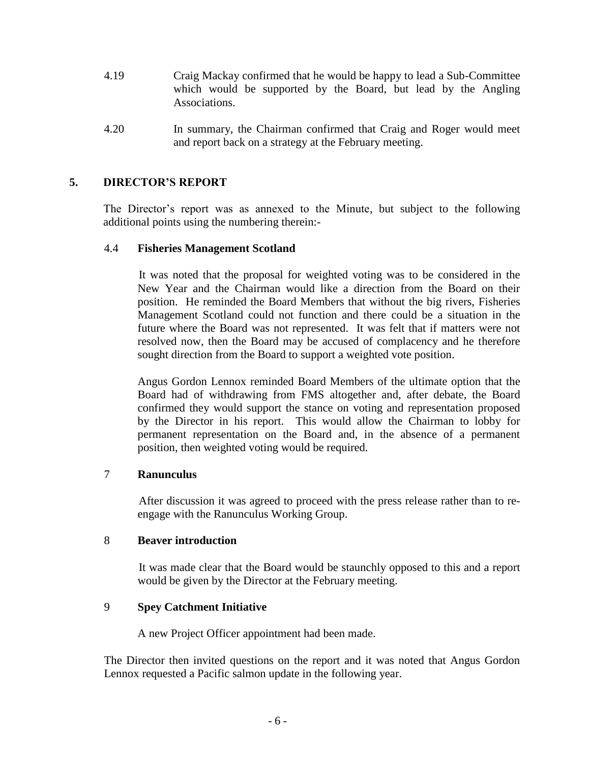- 4.19 Craig Mackay confirmed that he would be happy to lead a Sub-Committee which would be supported by the Board, but lead by the Angling Associations.
- 4.20 In summary, the Chairman confirmed that Craig and Roger would meet and report back on a strategy at the February meeting.

# **5. DIRECTOR'S REPORT**

The Director's report was as annexed to the Minute, but subject to the following additional points using the numbering therein:-

### 4.4 **Fisheries Management Scotland**

It was noted that the proposal for weighted voting was to be considered in the New Year and the Chairman would like a direction from the Board on their position. He reminded the Board Members that without the big rivers, Fisheries Management Scotland could not function and there could be a situation in the future where the Board was not represented. It was felt that if matters were not resolved now, then the Board may be accused of complacency and he therefore sought direction from the Board to support a weighted vote position.

Angus Gordon Lennox reminded Board Members of the ultimate option that the Board had of withdrawing from FMS altogether and, after debate, the Board confirmed they would support the stance on voting and representation proposed by the Director in his report. This would allow the Chairman to lobby for permanent representation on the Board and, in the absence of a permanent position, then weighted voting would be required.

## 7 **Ranunculus**

After discussion it was agreed to proceed with the press release rather than to reengage with the Ranunculus Working Group.

#### 8 **Beaver introduction**

It was made clear that the Board would be staunchly opposed to this and a report would be given by the Director at the February meeting.

## 9 **Spey Catchment Initiative**

A new Project Officer appointment had been made.

The Director then invited questions on the report and it was noted that Angus Gordon Lennox requested a Pacific salmon update in the following year.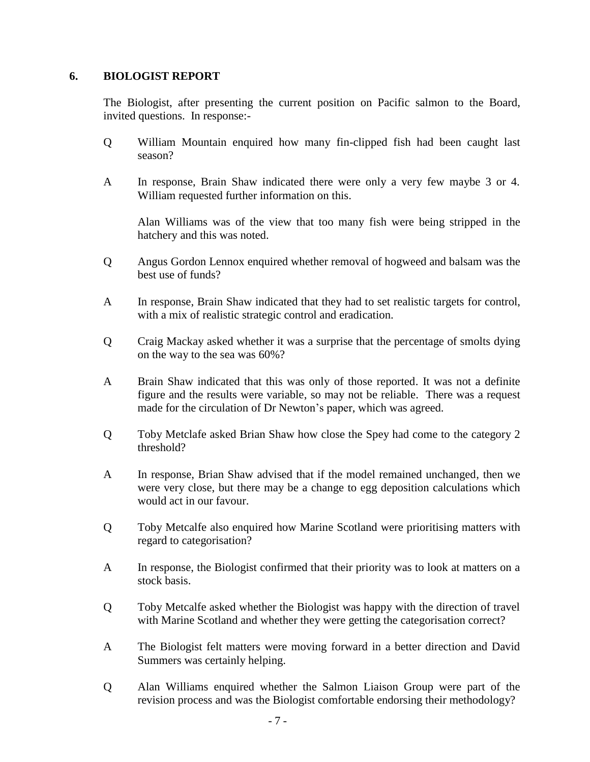### **6. BIOLOGIST REPORT**

The Biologist, after presenting the current position on Pacific salmon to the Board, invited questions. In response:-

- Q William Mountain enquired how many fin-clipped fish had been caught last season?
- A In response, Brain Shaw indicated there were only a very few maybe 3 or 4. William requested further information on this.

Alan Williams was of the view that too many fish were being stripped in the hatchery and this was noted.

- Q Angus Gordon Lennox enquired whether removal of hogweed and balsam was the best use of funds?
- A In response, Brain Shaw indicated that they had to set realistic targets for control, with a mix of realistic strategic control and eradication.
- Q Craig Mackay asked whether it was a surprise that the percentage of smolts dying on the way to the sea was 60%?
- A Brain Shaw indicated that this was only of those reported. It was not a definite figure and the results were variable, so may not be reliable. There was a request made for the circulation of Dr Newton's paper, which was agreed.
- Q Toby Metclafe asked Brian Shaw how close the Spey had come to the category 2 threshold?
- A In response, Brian Shaw advised that if the model remained unchanged, then we were very close, but there may be a change to egg deposition calculations which would act in our favour.
- Q Toby Metcalfe also enquired how Marine Scotland were prioritising matters with regard to categorisation?
- A In response, the Biologist confirmed that their priority was to look at matters on a stock basis.
- Q Toby Metcalfe asked whether the Biologist was happy with the direction of travel with Marine Scotland and whether they were getting the categorisation correct?
- A The Biologist felt matters were moving forward in a better direction and David Summers was certainly helping.
- Q Alan Williams enquired whether the Salmon Liaison Group were part of the revision process and was the Biologist comfortable endorsing their methodology?